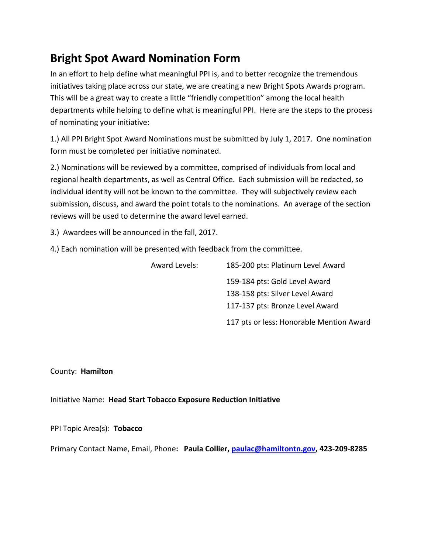# **Bright Spot Award Nomination Form**

In an effort to help define what meaningful PPI is, and to better recognize the tremendous initiatives taking place across our state, we are creating a new Bright Spots Awards program. This will be a great way to create a little "friendly competition" among the local health departments while helping to define what is meaningful PPI. Here are the steps to the process of nominating your initiative:

1.) All PPI Bright Spot Award Nominations must be submitted by July 1, 2017. One nomination form must be completed per initiative nominated.

2.) Nominations will be reviewed by a committee, comprised of individuals from local and regional health departments, as well as Central Office. Each submission will be redacted, so individual identity will not be known to the committee. They will subjectively review each submission, discuss, and award the point totals to the nominations. An average of the section reviews will be used to determine the award level earned.

3.) Awardees will be announced in the fall, 2017.

4.) Each nomination will be presented with feedback from the committee.

| <b>Award Levels:</b> | 185-200 pts: Platinum Level Award        |
|----------------------|------------------------------------------|
|                      | 159-184 pts: Gold Level Award            |
|                      | 138-158 pts: Silver Level Award          |
|                      | 117-137 pts: Bronze Level Award          |
|                      | 117 pts or less: Honorable Mention Award |

County: **Hamilton**

Initiative Name: **Head Start Tobacco Exposure Reduction Initiative**

PPI Topic Area(s): **Tobacco** 

Primary Contact Name, Email, Phone**: Paula Collier, [paulac@hamiltontn.gov,](mailto:paulac@hamiltontn.gov) 423-209-8285**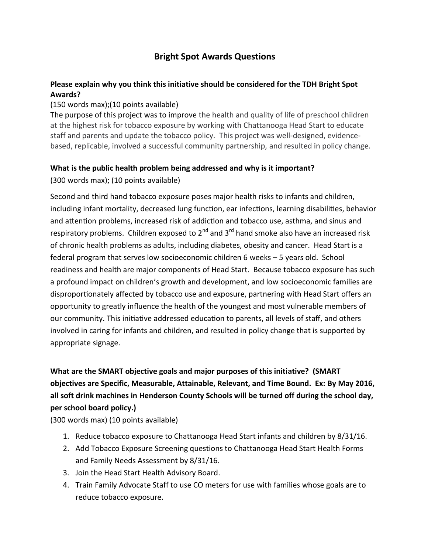#### **Bright Spot Awards Questions**

#### **Please explain why you think this initiative should be considered for the TDH Bright Spot Awards?**

#### (150 words max);(10 points available)

The purpose of this project was to improve the health and quality of life of preschool children at the highest risk for tobacco exposure by working with Chattanooga Head Start to educate staff and parents and update the tobacco policy. This project was well-designed, evidencebased, replicable, involved a successful community partnership, and resulted in policy change.

#### **What is the public health problem being addressed and why is it important?**

(300 words max); (10 points available)

Second and third hand tobacco exposure poses major health risks to infants and children, including infant mortality, decreased lung function, ear infections, learning disabilities, behavior and attention problems, increased risk of addiction and tobacco use, asthma, and sinus and respiratory problems. Children exposed to  $2^{nd}$  and  $3^{rd}$  hand smoke also have an increased risk of chronic health problems as adults, including diabetes, obesity and cancer. Head Start is a federal program that serves low socioeconomic children 6 weeks – 5 years old. School readiness and health are major components of Head Start. Because tobacco exposure has such a profound impact on children's growth and development, and low socioeconomic families are disproportionately affected by tobacco use and exposure, partnering with Head Start offers an opportunity to greatly influence the health of the youngest and most vulnerable members of our community. This initiative addressed education to parents, all levels of staff, and others involved in caring for infants and children, and resulted in policy change that is supported by appropriate signage.

# **What are the SMART objective goals and major purposes of this initiative? (SMART objectives are Specific, Measurable, Attainable, Relevant, and Time Bound. Ex: By May 2016, all soft drink machines in Henderson County Schools will be turned off during the school day, per school board policy.)**

(300 words max) (10 points available)

- 1. Reduce tobacco exposure to Chattanooga Head Start infants and children by 8/31/16.
- 2. Add Tobacco Exposure Screening questions to Chattanooga Head Start Health Forms and Family Needs Assessment by 8/31/16.
- 3. Join the Head Start Health Advisory Board.
- 4. Train Family Advocate Staff to use CO meters for use with families whose goals are to reduce tobacco exposure.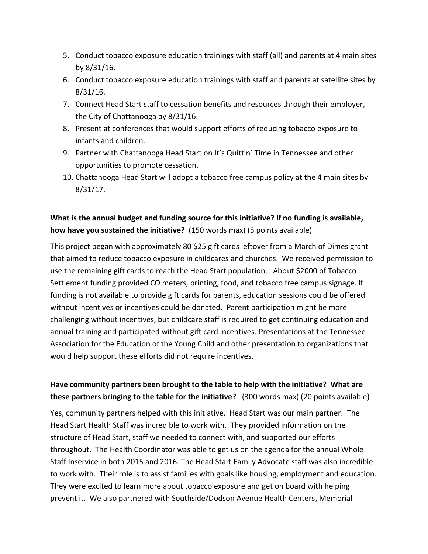- 5. Conduct tobacco exposure education trainings with staff (all) and parents at 4 main sites by 8/31/16.
- 6. Conduct tobacco exposure education trainings with staff and parents at satellite sites by 8/31/16.
- 7. Connect Head Start staff to cessation benefits and resources through their employer, the City of Chattanooga by 8/31/16.
- 8. Present at conferences that would support efforts of reducing tobacco exposure to infants and children.
- 9. Partner with Chattanooga Head Start on It's Quittin' Time in Tennessee and other opportunities to promote cessation.
- 10. Chattanooga Head Start will adopt a tobacco free campus policy at the 4 main sites by 8/31/17.

### **What is the annual budget and funding source for this initiative? If no funding is available, how have you sustained the initiative?** (150 words max) (5 points available)

This project began with approximately 80 \$25 gift cards leftover from a March of Dimes grant that aimed to reduce tobacco exposure in childcares and churches. We received permission to use the remaining gift cards to reach the Head Start population. About \$2000 of Tobacco Settlement funding provided CO meters, printing, food, and tobacco free campus signage. If funding is not available to provide gift cards for parents, education sessions could be offered without incentives or incentives could be donated. Parent participation might be more challenging without incentives, but childcare staff is required to get continuing education and annual training and participated without gift card incentives. Presentations at the Tennessee Association for the Education of the Young Child and other presentation to organizations that would help support these efforts did not require incentives.

#### **Have community partners been brought to the table to help with the initiative? What are these partners bringing to the table for the initiative?** (300 words max) (20 points available)

Yes, community partners helped with this initiative. Head Start was our main partner. The Head Start Health Staff was incredible to work with. They provided information on the structure of Head Start, staff we needed to connect with, and supported our efforts throughout. The Health Coordinator was able to get us on the agenda for the annual Whole Staff Inservice in both 2015 and 2016. The Head Start Family Advocate staff was also incredible to work with. Their role is to assist families with goals like housing, employment and education. They were excited to learn more about tobacco exposure and get on board with helping prevent it. We also partnered with Southside/Dodson Avenue Health Centers, Memorial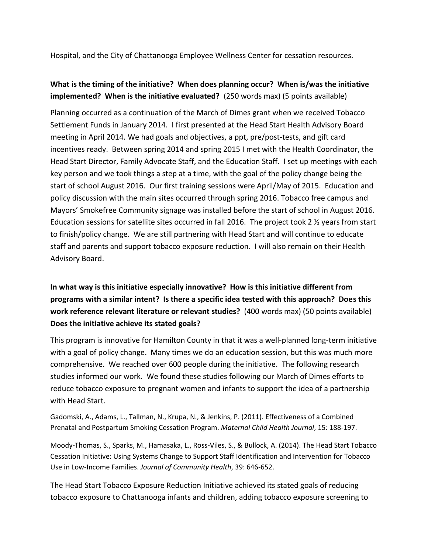Hospital, and the City of Chattanooga Employee Wellness Center for cessation resources.

#### **What is the timing of the initiative? When does planning occur? When is/was the initiative implemented? When is the initiative evaluated?** (250 words max) (5 points available)

Planning occurred as a continuation of the March of Dimes grant when we received Tobacco Settlement Funds in January 2014. I first presented at the Head Start Health Advisory Board meeting in April 2014. We had goals and objectives, a ppt, pre/post-tests, and gift card incentives ready. Between spring 2014 and spring 2015 I met with the Health Coordinator, the Head Start Director, Family Advocate Staff, and the Education Staff. I set up meetings with each key person and we took things a step at a time, with the goal of the policy change being the start of school August 2016. Our first training sessions were April/May of 2015. Education and policy discussion with the main sites occurred through spring 2016. Tobacco free campus and Mayors' Smokefree Community signage was installed before the start of school in August 2016. Education sessions for satellite sites occurred in fall 2016. The project took 2 ½ years from start to finish/policy change. We are still partnering with Head Start and will continue to educate staff and parents and support tobacco exposure reduction. I will also remain on their Health Advisory Board.

# **In what way is this initiative especially innovative? How is this initiative different from programs with a similar intent? Is there a specific idea tested with this approach? Does this work reference relevant literature or relevant studies?** (400 words max) (50 points available) **Does the initiative achieve its stated goals?**

This program is innovative for Hamilton County in that it was a well-planned long-term initiative with a goal of policy change. Many times we do an education session, but this was much more comprehensive. We reached over 600 people during the initiative. The following research studies informed our work. We found these studies following our March of Dimes efforts to reduce tobacco exposure to pregnant women and infants to support the idea of a partnership with Head Start.

Gadomski, A., Adams, L., Tallman, N., Krupa, N., & Jenkins, P. (2011). Effectiveness of a Combined Prenatal and Postpartum Smoking Cessation Program. *Maternal Child Health Journal*, 15: 188-197.

Moody-Thomas, S., Sparks, M., Hamasaka, L., Ross-Viles, S., & Bullock, A. (2014). The Head Start Tobacco Cessation Initiative: Using Systems Change to Support Staff Identification and Intervention for Tobacco Use in Low-Income Families. *Journal of Community Health*, 39: 646-652.

The Head Start Tobacco Exposure Reduction Initiative achieved its stated goals of reducing tobacco exposure to Chattanooga infants and children, adding tobacco exposure screening to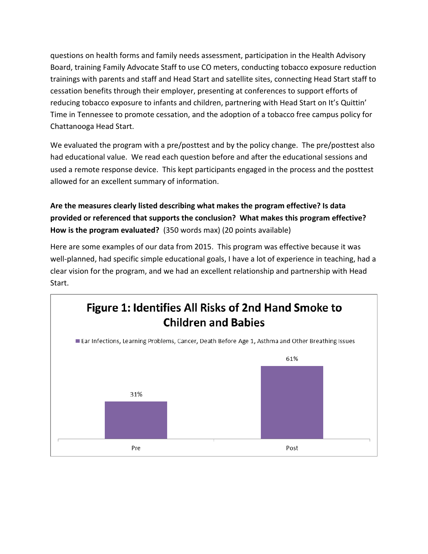questions on health forms and family needs assessment, participation in the Health Advisory Board, training Family Advocate Staff to use CO meters, conducting tobacco exposure reduction trainings with parents and staff and Head Start and satellite sites, connecting Head Start staff to cessation benefits through their employer, presenting at conferences to support efforts of reducing tobacco exposure to infants and children, partnering with Head Start on It's Quittin' Time in Tennessee to promote cessation, and the adoption of a tobacco free campus policy for Chattanooga Head Start.

We evaluated the program with a pre/posttest and by the policy change. The pre/posttest also had educational value. We read each question before and after the educational sessions and used a remote response device. This kept participants engaged in the process and the posttest allowed for an excellent summary of information.

### **Are the measures clearly listed describing what makes the program effective? Is data provided or referenced that supports the conclusion? What makes this program effective? How is the program evaluated?** (350 words max) (20 points available)

Here are some examples of our data from 2015. This program was effective because it was well-planned, had specific simple educational goals, I have a lot of experience in teaching, had a clear vision for the program, and we had an excellent relationship and partnership with Head Start.

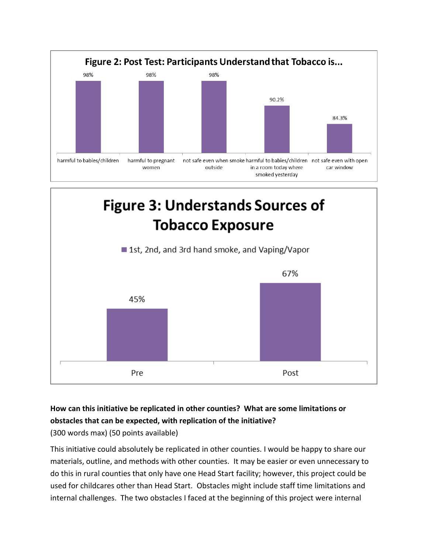

# **Figure 3: Understands Sources of Tobacco Exposure**



# **How can this initiative be replicated in other counties? What are some limitations or obstacles that can be expected, with replication of the initiative?**

(300 words max) (50 points available)

This initiative could absolutely be replicated in other counties. I would be happy to share our materials, outline, and methods with other counties. It may be easier or even unnecessary to do this in rural counties that only have one Head Start facility; however, this project could be used for childcares other than Head Start. Obstacles might include staff time limitations and internal challenges. The two obstacles I faced at the beginning of this project were internal